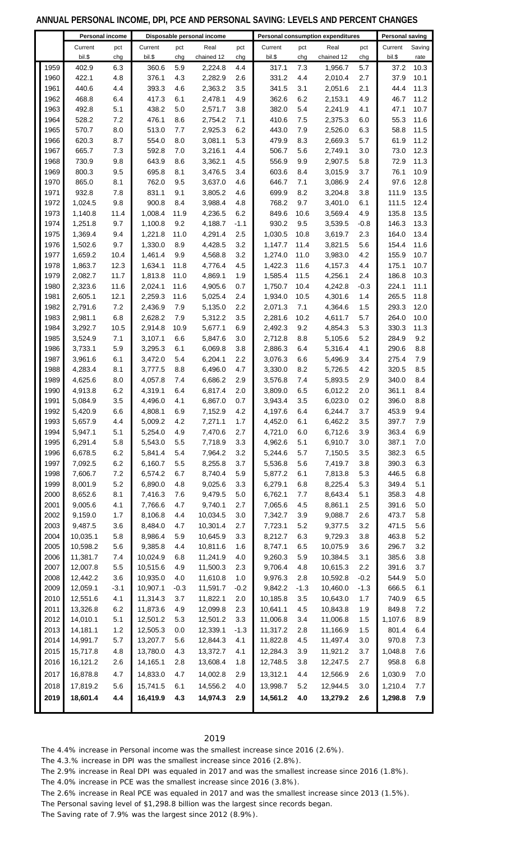## **ANNUAL PERSONAL INCOME, DPI, PCE AND PERSONAL SAVING: LEVELS AND PERCENT CHANGES**

|              | Personal income      |             |                      | Disposable personal income |                      | Personal consumption expenditures | <b>Personal saving</b> |             |                      |            |                  |              |
|--------------|----------------------|-------------|----------------------|----------------------------|----------------------|-----------------------------------|------------------------|-------------|----------------------|------------|------------------|--------------|
|              | Current              | pct         | Current              | pct                        | Real                 | pct                               | Current                | pct         | Real                 | pct        | Current          | Saving       |
|              | bil.\$               | chg         | bil.\$               | chg                        | chained 12           | chg                               | bil.\$                 | chg         | chained 12           | chg        | bil.\$           | rate         |
| 1959         | 402.9                | 6.3         | 360.6                | 5.9                        | 2,224.8              | 4.4                               | 317.1                  | 7.3         | 1,956.7              | 5.7        | 37.2             | 10.3         |
| 1960         | 422.1                | 4.8         | 376.1                | 4.3                        | 2,282.9              | 2.6                               | 331.2                  | 4.4         | 2,010.4              | 2.7        | 37.9             | 10.1         |
| 1961         | 440.6                | 4.4         | 393.3                | 4.6                        | 2,363.2              | 3.5                               | 341.5                  | 3.1         | 2,051.6              | 2.1        | 44.4             | 11.3         |
| 1962         | 468.8                | 6.4         | 417.3                | 6.1                        | 2,478.1              | 4.9                               | 362.6                  | 6.2         | 2,153.1              | 4.9        | 46.7             | 11.2         |
| 1963<br>1964 | 492.8<br>528.2       | 5.1<br>7.2  | 438.2<br>476.1       | 5.0<br>8.6                 | 2,571.7<br>2,754.2   | 3.8<br>7.1                        | 382.0<br>410.6         | 5.4<br>7.5  | 2,241.9<br>2,375.3   | 4.1<br>6.0 | 47.1<br>55.3     | 10.7<br>11.6 |
| 1965         | 570.7                | 8.0         | 513.0                | 7.7                        | 2,925.3              | 6.2                               | 443.0                  | 7.9         | 2,526.0              | 6.3        | 58.8             | 11.5         |
| 1966         | 620.3                | 8.7         | 554.0                | 8.0                        | 3,081.1              | 5.3                               | 479.9                  | 8.3         | 2,669.3              | 5.7        | 61.9             | 11.2         |
| 1967         | 665.7                | 7.3         | 592.8                | 7.0                        | 3,216.1              | 4.4                               | 506.7                  | 5.6         | 2,749.1              | 3.0        | 73.0             | 12.3         |
| 1968         | 730.9                | 9.8         | 643.9                | 8.6                        | 3,362.1              | 4.5                               | 556.9                  | 9.9         | 2,907.5              | 5.8        | 72.9             | 11.3         |
| 1969         | 800.3                | 9.5         | 695.8                | 8.1                        | 3,476.5              | 3.4                               | 603.6                  | 8.4         | 3,015.9              | 3.7        | 76.1             | 10.9         |
| 1970         | 865.0                | 8.1         | 762.0                | 9.5                        | 3,637.0              | 4.6                               | 646.7                  | 7.1         | 3,086.9              | 2.4        | 97.6             | 12.8         |
| 1971         | 932.8                | 7.8         | 831.1                | 9.1                        | 3,805.2              | 4.6                               | 699.9                  | 8.2         | 3,204.8              | 3.8        | 111.9            | 13.5         |
| 1972         | 1,024.5              | 9.8         | 900.8                | 8.4                        | 3,988.4              | 4.8                               | 768.2                  | 9.7         | 3,401.0              | 6.1        | 111.5            | 12.4         |
| 1973         | 1,140.8              | 11.4        | 1,008.4              | 11.9                       | 4,236.5              | 6.2                               | 849.6                  | 10.6        | 3,569.4              | 4.9        | 135.8            | 13.5         |
| 1974         | 1,251.8              | 9.7         | 1,100.8              | 9.2                        | 4,188.7              | $-1.1$                            | 930.2                  | 9.5         | 3,539.5              | $-0.8$     | 146.3            | 13.3         |
| 1975         | 1,369.4              | 9.4         | 1,221.8              | 11.0                       | 4,291.4              | 2.5                               | 1,030.5                | 10.8        | 3,619.7              | 2.3        | 164.0            | 13.4         |
| 1976         | 1,502.6              | 9.7         | 1,330.0              | 8.9                        | 4,428.5              | 3.2                               | 1,147.7                | 11.4        | 3,821.5              | 5.6        | 154.4            | 11.6         |
| 1977         | 1,659.2              | 10.4        | 1,461.4              | 9.9                        | 4,568.8              | 3.2                               | 1,274.0                | 11.0        | 3,983.0              | 4.2        | 155.9            | 10.7         |
| 1978         | 1,863.7              | 12.3        | 1,634.1              | 11.8                       | 4,776.4              | 4.5                               | 1,422.3                | 11.6        | 4,157.3              | 4.4        | 175.1            | 10.7         |
| 1979         | 2,082.7              | 11.7        | 1,813.8              | 11.0                       | 4,869.1              | 1.9                               | 1,585.4                | 11.5        | 4,256.1              | 2.4        | 186.8            | 10.3         |
| 1980         | 2,323.6              | 11.6        | 2,024.1              | 11.6                       | 4,905.6              | 0.7                               | 1,750.7                | 10.4        | 4,242.8              | $-0.3$     | 224.1            | 11.1         |
| 1981<br>1982 | 2,605.1<br>2,791.6   | 12.1<br>7.2 | 2,259.3<br>2,436.9   | 11.6<br>7.9                | 5,025.4<br>5,135.0   | 2.4<br>2.2                        | 1,934.0<br>2,071.3     | 10.5<br>7.1 | 4,301.6<br>4,364.6   | 1.4<br>1.5 | 265.5<br>293.3   | 11.8<br>12.0 |
| 1983         | 2,981.1              | 6.8         | 2,628.2              | 7.9                        | 5,312.2              | 3.5                               | 2,281.6                | 10.2        | 4,611.7              | 5.7        | 264.0            | 10.0         |
| 1984         | 3,292.7              | 10.5        | 2,914.8              | 10.9                       | 5,677.1              | 6.9                               | 2,492.3                | 9.2         | 4,854.3              | 5.3        | 330.3            | 11.3         |
| 1985         | 3,524.9              | 7.1         | 3,107.1              | 6.6                        | 5,847.6              | 3.0                               | 2,712.8                | 8.8         | 5,105.6              | 5.2        | 284.9            | 9.2          |
| 1986         | 3,733.1              | 5.9         | 3,295.3              | 6.1                        | 6,069.8              | 3.8                               | 2,886.3                | 6.4         | 5,316.4              | 4.1        | 290.6            | 8.8          |
| 1987         | 3,961.6              | 6.1         | 3,472.0              | 5.4                        | 6,204.1              | 2.2                               | 3,076.3                | 6.6         | 5,496.9              | 3.4        | 275.4            | 7.9          |
| 1988         | 4,283.4              | 8.1         | 3,777.5              | 8.8                        | 6,496.0              | 4.7                               | 3,330.0                | 8.2         | 5,726.5              | 4.2        | 320.5            | 8.5          |
| 1989         | 4,625.6              | 8.0         | 4,057.8              | 7.4                        | 6,686.2              | 2.9                               | 3,576.8                | 7.4         | 5,893.5              | 2.9        | 340.0            | 8.4          |
| 1990         | 4,913.8              | 6.2         | 4,319.1              | 6.4                        | 6,817.4              | 2.0                               | 3,809.0                | 6.5         | 6,012.2              | 2.0        | 361.1            | 8.4          |
| 1991         | 5,084.9              | 3.5         | 4,496.0              | 4.1                        | 6,867.0              | 0.7                               | 3,943.4                | 3.5         | 6,023.0              | 0.2        | 396.0            | 8.8          |
| 1992         | 5,420.9              | 6.6         | 4,808.1              | 6.9                        | 7,152.9              | 4.2                               | 4,197.6                | 6.4         | 6,244.7              | 3.7        | 453.9            | 9.4          |
| 1993         | 5,657.9              | 4.4         | 5,009.2              | 4.2                        | 7,271.1              | 1.7                               | 4,452.0                | 6.1         | 6,462.2              | 3.5        | 397.7            | 7.9          |
| 1994         | 5,947.1              | 5.1         | 5,254.0              | 4.9                        | 7,470.6              | 2.7                               | 4,721.0                | 6.0         | 6,712.6              | 3.9        | 363.4            | 6.9          |
| 1995         | 6,291.4              | 5.8         | 5,543.0              | 5.5                        | 7,718.9              | 3.3                               | 4,962.6                | 5.1         | 6,910.7              | 3.0        | 387.1            | 7.0          |
| 1996         | 6,678.5              | 6.2         | 5,841.4              | 5.4                        | 7,964.2              | 3.2                               | 5,244.6                | 5.7         | 7,150.5              | 3.5        | 382.3            | 6.5          |
| 1997         | 7,092.5              | 6.2         | 6,160.7              | 5.5<br>6.7                 | 8,255.8              | 3.7                               | 5,536.8                | 5.6         | 7,419.7              | 3.8        | 390.3            | 6.3          |
| 1998<br>1999 | 7,606.7<br>8,001.9   | 7.2<br>5.2  | 6,574.2<br>6,890.0   | 4.8                        | 8,740.4<br>9,025.6   | 5.9<br>3.3                        | 5,877.2<br>6,279.1     | 6.1<br>6.8  | 7,813.8<br>8,225.4   | 5.3<br>5.3 | 446.5<br>349.4   | 6.8<br>5.1   |
| 2000         | 8,652.6              | 8.1         | 7,416.3              | 7.6                        | 9,479.5              | $5.0\,$                           | 6,762.1                | 7.7         | 8,643.4              | 5.1        | 358.3            | 4.8          |
| 2001         | 9,005.6              | 4.1         | 7,766.6              | 4.7                        | 9,740.1              | 2.7                               | 7,065.6                | 4.5         | 8,861.1              | 2.5        | 391.6            | 5.0          |
| 2002         | 9,159.0              | 1.7         | 8,106.8              | 4.4                        | 10,034.5             | 3.0                               | 7,342.7                | 3.9         | 9,088.7              | $2.6\,$    | 473.7            | 5.8          |
| 2003         | 9,487.5              | 3.6         | 8,484.0              | 4.7                        | 10,301.4             | 2.7                               | 7,723.1                | $5.2\,$     | 9,377.5              | 3.2        | 471.5            | 5.6          |
| 2004         | 10,035.1             | 5.8         | 8,986.4              | 5.9                        | 10,645.9             | 3.3                               | 8,212.7                | 6.3         | 9,729.3              | 3.8        | 463.8            | 5.2          |
| 2005         | 10,598.2             | 5.6         | 9,385.8              | 4.4                        | 10,811.6             | 1.6                               | 8,747.1                | 6.5         | 10,075.9             | 3.6        | 296.7            | 3.2          |
| 2006         | 11,381.7             | 7.4         | 10,024.9             | 6.8                        | 11,241.9             | 4.0                               | 9,260.3                | 5.9         | 10,384.5             | 3.1        | 385.6            | 3.8          |
| 2007         | 12,007.8             | 5.5         | 10,515.6             | 4.9                        | 11,500.3             | 2.3                               | 9,706.4                | 4.8         | 10,615.3             | 2.2        | 391.6            | 3.7          |
| 2008         | 12,442.2             | 3.6         | 10,935.0             | 4.0                        | 11,610.8             | $1.0$                             | 9,976.3                | 2.8         | 10,592.8             | $-0.2$     | 544.9            | 5.0          |
| 2009         | 12,059.1             | $-3.1$      | 10,907.1             | $-0.3$                     | 11,591.7             | $-0.2$                            | 9,842.2                | $-1.3$      | 10,460.0             | $-1.3$     | 666.5            | 6.1          |
| 2010         | 12,551.6             | 4.1         | 11,314.3             | 3.7                        | 11,822.1             | 2.0                               | 10,185.8               | 3.5         | 10,643.0             | 1.7        | 740.9            | 6.5          |
| 2011         | 13,326.8             | 6.2         | 11,873.6             | 4.9                        | 12,099.8             | 2.3                               | 10,641.1               | 4.5         | 10,843.8             | 1.9        | 849.8            | 7.2          |
| 2012         | 14,010.1             | 5.1         | 12,501.2             | 5.3                        | 12,501.2             | 3.3                               | 11,006.8               | 3.4         | 11,006.8             | 1.5        | 1,107.6          | 8.9          |
| 2013         | 14,181.1             | $1.2$       | 12,505.3             | 0.0                        | 12,339.1             | $-1.3$                            | 11,317.2               | 2.8         | 11,166.9             | 1.5        | 801.4            | 6.4          |
| 2014         | 14,991.7             | 5.7<br>4.8  | 13,207.7<br>13,780.0 | 5.6<br>4.3                 | 12,844.3             | 4.1<br>4.1                        | 11,822.8<br>12,284.3   | 4.5<br>3.9  | 11,497.4<br>11,921.2 | 3.0<br>3.7 | 970.8<br>1,048.8 | 7.3<br>7.6   |
| 2015<br>2016 | 15,717.8<br>16,121.2 | 2.6         | 14,165.1             | 2.8                        | 13,372.7<br>13,608.4 | 1.8                               | 12,748.5               | 3.8         | 12,247.5             | 2.7        | 958.8            | 6.8          |
|              |                      |             |                      |                            |                      |                                   |                        |             |                      |            |                  |              |
| 2017         | 16,878.8             | 4.7         | 14,833.0             | 4.7                        | 14,002.8             | 2.9                               | 13,312.1               | 4.4         | 12,566.9             | 2.6        | 1,030.9          | 7.0          |
| 2018         | 17,819.2             | 5.6         | 15,741.5             | 6.1                        | 14,556.2             | 4.0                               | 13,998.7               | $5.2\,$     | 12,944.5             | $3.0\,$    | 1,210.4          | 7.7          |
| 2019         | 18,601.4             | 4.4         | 16,419.9             | 4.3                        | 14,974.3             | 2.9                               | 14,561.2               | 4.0         | 13,279.2             | 2.6        | 1,298.8          | 7.9          |
|              |                      |             |                      |                            |                      |                                   |                        |             |                      |            |                  |              |

### 

The 4.4% increase in Personal income was the smallest increase since 2016 (2.6%).

The 4.3.% increase in DPI was the smallest increase since 2016 (2.8%).

The 2.9% increase in Real DPI was equaled in 2017 and was the smallest increase since 2016 (1.8%).

The 4.0% increase in PCE was the smallest increase since 2016 (3.8%).

The 2.6% increase in Real PCE was equaled in 2017 and was the smallest increase since 2013 (1.5%).

The Personal saving level of \$1,298.8 billion was the largest since records began.

The Saving rate of 7.9% was the largest since 2012 (8.9%).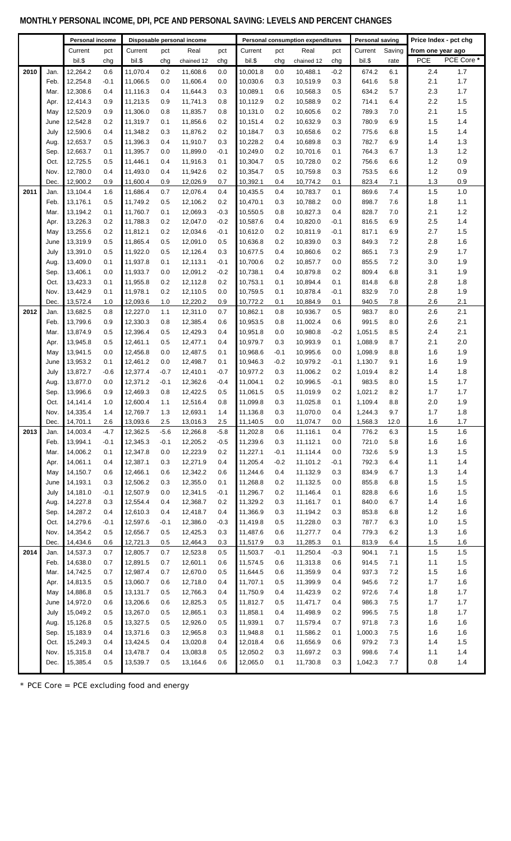# **MONTHLY PERSONAL INCOME, DPI, PCE AND PERSONAL SAVING: LEVELS AND PERCENT CHANGES**

|      |              | Personal income      |            |                      |            | Disposable personal income |               | Personal consumption expenditures |            |                      | <b>Personal saving</b> |                    | Price Index - pct chg |                   |            |
|------|--------------|----------------------|------------|----------------------|------------|----------------------------|---------------|-----------------------------------|------------|----------------------|------------------------|--------------------|-----------------------|-------------------|------------|
|      |              | Current              | pct        | Current              | pct        | Real                       | pct           | Current                           | pct        | Real                 | pct                    | Current            | Saving                | from one year ago |            |
|      |              | bil.\$               | chg        | bil.\$               | chg        | chained 12                 | chg           | bil.\$                            | chg        | chained 12           | chg                    | bil.\$             | rate                  | <b>PCE</b>        | PCE Core * |
| 2010 | Jan.         | 12,264.2             | 0.6        | 11,070.4             | 0.2        | 11,608.6                   | 0.0           | 10,001.8                          | 0.0        | 10,488.1             | $-0.2$                 | 674.2              | 6.1                   | 2.4               | 1.7        |
|      | Feb.         | 12,254.8             | $-0.1$     | 11,066.5             | 0.0        | 11,606.4                   | 0.0           | 10,030.6                          | 0.3        | 10,519.9             | 0.3                    | 641.6              | 5.8                   | 2.1               | 1.7        |
|      | Mar.         | 12,308.6             | 0.4        | 11,116.3             | 0.4        | 11,644.3                   | 0.3           | 10,089.1                          | 0.6        | 10,568.3             | 0.5                    | 634.2              | 5.7                   | 2.3               | 1.7        |
|      | Apr.         | 12,414.3             | 0.9        | 11,213.5             | 0.9        | 11,741.3                   | 0.8           | 10,112.9                          | 0.2        | 10,588.9             | 0.2                    | 714.1              | 6.4                   | 2.2               | 1.5        |
|      | May          | 12,520.9             | 0.9        | 11,306.0             | 0.8        | 11,835.7                   | 0.8           | 10,131.0                          | 0.2        | 10,605.6             | 0.2                    | 789.3              | 7.0                   | 2.1               | 1.5        |
|      | June         | 12,542.8             | 0.2        | 11,319.7             | 0.1        | 11,856.6                   | 0.2           | 10,151.4                          | 0.2        | 10,632.9             | 0.3                    | 780.9              | 6.9                   | 1.5               | 1.4        |
|      | July         | 12,590.6             | 0.4        | 11,348.2             | 0.3        | 11,876.2                   | 0.2           | 10,184.7                          | 0.3        | 10,658.6             | 0.2                    | 775.6              | 6.8                   | 1.5               | 1.4        |
|      | Aug.         | 12,653.7             | 0.5        | 11,396.3             | 0.4        | 11,910.7                   | 0.3           | 10,228.2                          | 0.4        | 10,689.8             | 0.3                    | 782.7              | 6.9                   | 1.4               | 1.3        |
|      | Sep.         | 12,663.7             | 0.1        | 11,395.7             | 0.0        | 11,899.0                   | $-0.1$        | 10,249.0                          | 0.2        | 10,701.6             | 0.1                    | 764.3              | 6.7                   | 1.3               | 1.2        |
|      | Oct.         | 12,725.5             | 0.5        | 11,446.1             | 0.4        | 11,916.3                   | 0.1           | 10,304.7                          | 0.5        | 10,728.0             | 0.2                    | 756.6              | 6.6                   | 1.2               | 0.9        |
|      | Nov.         | 12,780.0             | 0.4        | 11,493.0             | 0.4        | 11,942.6                   | 0.2           | 10,354.7                          | 0.5        | 10,759.8             | 0.3                    | 753.5              | 6.6                   | 1.2               | 0.9        |
|      | Dec.         | 12,900.2             | 0.9        | 11,600.4             | 0.9        | 12,026.9                   | 0.7           | 10,392.1                          | 0.4        | 10,774.2             | 0.1                    | 823.4              | 7.1                   | 1.3               | 0.9        |
| 2011 | Jan.         | 13,104.4             | 1.6        | 11,686.4             | 0.7        | 12,076.4                   | 0.4           | 10,435.5                          | 0.4        | 10,783.7             | 0.1                    | 869.6              | 7.4                   | 1.5               | 1.0        |
|      | Feb.         | 13,176.1             | 0.5        | 11,749.2<br>11,760.7 | 0.5<br>0.1 | 12,106.2                   | 0.2<br>$-0.3$ | 10,470.1<br>10,550.5              | 0.3<br>0.8 | 10,788.2             | 0.0<br>0.4             | 898.7<br>828.7     | 7.6                   | 1.8<br>2.1        | 1.1<br>1.2 |
|      | Mar.<br>Apr. | 13,194.2<br>13,226.3 | 0.1<br>0.2 | 11,788.3             | 0.2        | 12,069.3<br>12,047.0       | $-0.2$        | 10,587.6                          | 0.4        | 10,827.3<br>10,820.0 | $-0.1$                 | 816.5              | 7.0<br>6.9            | 2.5               | 1.4        |
|      | May          | 13,255.6             | 0.2        | 11,812.1             | 0.2        | 12,034.6                   | $-0.1$        | 10,612.0                          | 0.2        | 10,811.9             | $-0.1$                 | 817.1              | 6.9                   | 2.7               | 1.5        |
|      | June         | 13,319.9             | 0.5        | 11,865.4             | 0.5        | 12,091.0                   | 0.5           | 10,636.8                          | 0.2        | 10,839.0             | 0.3                    | 849.3              | 7.2                   | 2.8               | 1.6        |
|      | July         | 13,391.0             | 0.5        | 11,922.0             | 0.5        | 12,126.4                   | 0.3           | 10,677.5                          | 0.4        | 10,860.6             | 0.2                    | 865.1              | 7.3                   | 2.9               | 1.7        |
|      | Aug.         | 13,409.0             | 0.1        | 11,937.8             | 0.1        | 12,113.1                   | $-0.1$        | 10,700.6                          | 0.2        | 10,857.7             | 0.0                    | 855.5              | 7.2                   | 3.0               | 1.9        |
|      | Sep.         | 13,406.1             | 0.0        | 11,933.7             | 0.0        | 12,091.2                   | $-0.2$        | 10,738.1                          | 0.4        | 10,879.8             | 0.2                    | 809.4              | 6.8                   | 3.1               | 1.9        |
|      | Oct.         | 13,423.3             | 0.1        | 11,955.8             | 0.2        | 12,112.8                   | 0.2           | 10,753.1                          | 0.1        | 10,894.4             | 0.1                    | 814.8              | 6.8                   | 2.8               | 1.8        |
|      | Nov.         | 13,442.9             | 0.1        | 11,978.1             | 0.2        | 12,110.5                   | 0.0           | 10,759.5                          | 0.1        | 10,878.4             | $-0.1$                 | 832.9              | 7.0                   | 2.8               | 1.9        |
|      | Dec.         | 13,572.4             | 1.0        | 12,093.6             | 1.0        | 12,220.2                   | 0.9           | 10,772.2                          | 0.1        | 10,884.9             | 0.1                    | 940.5              | 7.8                   | 2.6               | 2.1        |
| 2012 | Jan.         | 13,682.5             | 0.8        | 12,227.0             | 1.1        | 12,311.0                   | 0.7           | 10,862.1                          | 0.8        | 10,936.7             | 0.5                    | 983.7              | 8.0                   | 2.6               | 2.1        |
|      | Feb.         | 13,799.6             | 0.9        | 12,330.3             | 0.8        | 12,385.4                   | 0.6           | 10,953.5                          | 0.8        | 11,002.4             | 0.6                    | 991.5              | 8.0                   | 2.6               | 2.1        |
|      | Mar.         | 13,874.9             | 0.5        | 12,396.4             | 0.5        | 12,429.3                   | 0.4           | 10,951.8                          | 0.0        | 10,980.8             | $-0.2$                 | 1,051.5            | 8.5                   | 2.4               | 2.1        |
|      | Apr.         | 13,945.8             | 0.5        | 12,461.1             | 0.5        | 12,477.1                   | 0.4           | 10,979.7                          | 0.3        | 10,993.9             | 0.1                    | 1,088.9            | 8.7                   | 2.1               | 2.0        |
|      | May          | 13,941.5             | 0.0        | 12,456.8             | 0.0        | 12,487.5                   | 0.1           | 10,968.6                          | $-0.1$     | 10,995.6             | 0.0                    | 1,098.9            | 8.8                   | 1.6               | 1.9        |
|      | June         | 13,953.2             | 0.1        | 12,461.2             | 0.0        | 12,498.7                   | 0.1           | 10,946.3                          | $-0.2$     | 10,979.2             | $-0.1$                 | 1,130.7            | 9.1                   | 1.6               | 1.9        |
|      | July         | 13,872.7             | $-0.6$     | 12,377.4             | $-0.7$     | 12,410.1                   | $-0.7$        | 10,977.2                          | 0.3        | 11,006.2             | 0.2                    | 1,019.4            | 8.2                   | 1.4               | 1.8        |
|      | Aug.         | 13,877.0             | 0.0        | 12,371.2             | $-0.1$     | 12,362.6                   | $-0.4$        | 11,004.1                          | 0.2        | 10,996.5             | $-0.1$                 | 983.5              | 8.0                   | 1.5               | 1.7        |
|      | Sep.         | 13,996.6             | 0.9        | 12,469.3             | 0.8        | 12,422.5                   | 0.5           | 11,061.5                          | 0.5        | 11,019.9             | 0.2                    | 1,021.2            | 8.2                   | 1.7               | 1.7        |
|      | Oct.         | 14,141.4             | 1.0        | 12,600.4<br>12,769.7 | 1.1        | 12,516.4                   | 0.8           | 11,099.8                          | 0.3        | 11,025.8             | 0.1                    | 1,109.4            | 8.8                   | 2.0               | 1.9        |
|      | Nov.<br>Dec. | 14,335.4<br>14,701.1 | 1.4<br>2.6 | 13,093.6             | 1.3<br>2.5 | 12,693.1<br>13,016.3       | 1.4<br>2.5    | 11,136.8<br>11,140.5              | 0.3<br>0.0 | 11,070.0<br>11,074.7 | 0.4<br>0.0             | 1,244.3<br>1,568.3 | 9.7<br>12.0           | 1.7<br>1.6        | 1.8<br>1.7 |
| 2013 | Jan.         | 14,003.4             | $-4.7$     | 12,362.5             | $-5.6$     | 12,266.8                   | $-5.8$        | 11,202.8                          | 0.6        | 11,116.1             | 0.4                    | 776.2              | 6.3                   | 1.5               | 1.6        |
|      | Feb.         | 13,994.1             | $-0.1$     | 12,345.3             | $-0.1$     | 12,205.2                   | $-0.5$        | 11,239.6                          | 0.3        | 11,112.1             | 0.0                    | 721.0              | 5.8                   | 1.6               | 1.6        |
|      | Mar.         | 14,006.2             | 0.1        | 12,347.8             | 0.0        | 12,223.9                   | 0.2           | 11,227.1                          | $-0.1$     | 11,114.4             | 0.0                    | 732.6              | 5.9                   | 1.3               | 1.5        |
|      | Apr.         | 14,061.1             | 0.4        | 12,387.1             | 0.3        | 12,271.9                   | 0.4           | 11,205.4                          | $-0.2$     | 11,101.2             | $-0.1$                 | 792.3              | 6.4                   | 1.1               | $1.4$      |
|      | May          | 14,150.7             | 0.6        | 12,466.1             | 0.6        | 12,342.2                   | 0.6           | 11,244.6                          | 0.4        | 11,132.9             | 0.3                    | 834.9              | 6.7                   | 1.3               | $1.4$      |
|      | June         | 14,193.1             | 0.3        | 12,506.2             | 0.3        | 12,355.0                   | 0.1           | 11,268.8                          | 0.2        | 11,132.5             | 0.0                    | 855.8              | 6.8                   | 1.5               | 1.5        |
|      | July         | 14,181.0             | $-0.1$     | 12,507.9             | 0.0        | 12,341.5                   | $-0.1$        | 11,296.7                          | 0.2        | 11,146.4             | 0.1                    | 828.8              | 6.6                   | 1.6               | $1.5$      |
|      | Aug.         | 14,227.8             | 0.3        | 12,554.4             | 0.4        | 12,368.7                   | 0.2           | 11,329.2                          | 0.3        | 11,161.7             | 0.1                    | 840.0              | 6.7                   | 1.4               | 1.6        |
|      | Sep.         | 14,287.2             | 0.4        | 12,610.3             | 0.4        | 12,418.7                   | 0.4           | 11,366.9                          | 0.3        | 11,194.2             | 0.3                    | 853.8              | 6.8                   | $1.2$             | 1.6        |
|      | Oct.         | 14,279.6             | $-0.1$     | 12,597.6             | $-0.1$     | 12,386.0                   | $-0.3$        | 11,419.8                          | 0.5        | 11,228.0             | 0.3                    | 787.7              | 6.3                   | 1.0               | 1.5        |
|      | Nov.         | 14,354.2             | 0.5        | 12,656.7             | 0.5        | 12,425.3                   | 0.3           | 11,487.6                          | 0.6        | 11,277.7             | 0.4                    | 779.3              | 6.2                   | 1.3               | 1.6        |
|      | Dec.         | 14,434.6             | 0.6        | 12,721.3             | 0.5        | 12,464.3                   | 0.3           | 11,517.9                          | 0.3        | 11,285.3             | 0.1                    | 813.9              | 6.4                   | 1.5               | 1.6        |
| 2014 | Jan.         | 14,537.3             | 0.7        | 12,805.7             | 0.7        | 12,523.8                   | 0.5           | 11,503.7                          | $-0.1$     | 11,250.4             | $-0.3$                 | 904.1              | 7.1                   | 1.5               | 1.5        |
|      | Feb.         | 14,638.0             | 0.7        | 12,891.5             | 0.7        | 12,601.1                   | 0.6           | 11,574.5                          | 0.6        | 11,313.8             | 0.6                    | 914.5              | 7.1                   | 1.1               | 1.5        |
|      | Mar.         | 14,742.5<br>14,813.5 | 0.7<br>0.5 | 12,987.4<br>13,060.7 | 0.7<br>0.6 | 12,670.0<br>12,718.0       | 0.5<br>0.4    | 11,644.5<br>11,707.1              | 0.6<br>0.5 | 11,359.9<br>11,399.9 | 0.4<br>0.4             | 937.3<br>945.6     | 7.2<br>7.2            | 1.5<br>1.7        | 1.6<br>1.6 |
|      | Apr.<br>May  | 14,886.8             | 0.5        | 13,131.7             | 0.5        | 12,766.3                   | 0.4           | 11,750.9                          | 0.4        | 11,423.9             | 0.2                    | 972.6              | 7.4                   | 1.8               | $1.7$      |
|      | June         | 14,972.0             | 0.6        | 13,206.6             | 0.6        | 12,825.3                   | 0.5           | 11,812.7                          | 0.5        | 11,471.7             | 0.4                    | 986.3              | 7.5                   | 1.7               | 1.7        |
|      | July         | 15,049.2             | $0.5\,$    | 13,267.0             | 0.5        | 12,865.1                   | 0.3           | 11,858.1                          | 0.4        | 11,498.9             | 0.2                    | 996.5              | 7.5                   | 1.8               | $1.7$      |
|      | Aug.         | 15,126.8             | 0.5        | 13,327.5             | 0.5        | 12,926.0                   | 0.5           | 11,939.1                          | 0.7        | 11,579.4             | 0.7                    | 971.8              | 7.3                   | 1.6               | 1.6        |
|      | Sep.         | 15,183.9             | 0.4        | 13,371.6             | 0.3        | 12,965.8                   | 0.3           | 11,948.8                          | 0.1        | 11,586.2             | 0.1                    | 1,000.3            | $7.5\,$               | 1.6               | 1.6        |
|      | Oct.         | 15,249.3             | 0.4        | 13,424.5             | 0.4        | 13,020.8                   | 0.4           | 12,018.4                          | 0.6        | 11,656.9             | 0.6                    | 979.2              | 7.3                   | 1.4               | 1.5        |
|      | Nov.         | 15,315.8             | 0.4        | 13,478.7             | 0.4        | 13,083.8                   | 0.5           | 12,050.2                          | 0.3        | 11,697.2             | 0.3                    | 998.6              | 7.4                   | 1.1               | $1.4$      |
|      | Dec.         | 15,385.4             | 0.5        | 13,539.7             | 0.5        | 13,164.6                   | 0.6           | 12,065.0                          | 0.1        | 11,730.8             | 0.3                    | 1,042.3            | 7.7                   | 0.8               | $1.4$      |
|      |              |                      |            |                      |            |                            |               |                                   |            |                      |                        |                    |                       |                   |            |

\* PCE Core = PCE excluding food and energy